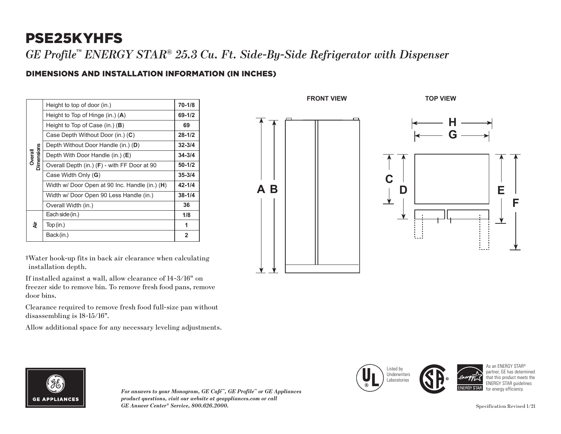## PSE25KYHFS

*GE Profile™ ENERGY STAR® 25.3 Cu. Ft. Side-By-Side Refrigerator with Dispenser*

## DIMENSIONS AND INSTALLATION INFORMATION (IN INCHES)

| dimensions<br><b>Overall</b> | Height to top of door (in.)                    | $70 - 1/8$ |
|------------------------------|------------------------------------------------|------------|
|                              | Height to Top of Hinge (in.) $(A)$             | 69-1/2     |
|                              | Height to Top of Case (in.) $(B)$              | 69         |
|                              | Case Depth Without Door (in.) (C)              | $28 - 1/2$ |
|                              | Depth Without Door Handle (in.) (D)            | $32 - 3/4$ |
|                              | Depth With Door Handle (in.) (E)               | $34 - 3/4$ |
|                              | Overall Depth (in.) (F) - with FF Door at 90   | $50 - 1/2$ |
|                              | Case Width Only (G)                            | $35 - 3/4$ |
|                              | Width w/ Door Open at 90 Inc. Handle (in.) (H) | $42 - 1/4$ |
|                              | Width w/ Door Open 90 Less Handle (in.)        | $38 - 1/4$ |
|                              | Overall Width (in.)                            | 36         |
| ই                            | Each side (in.)                                | 1/8        |
|                              | Top(in.)                                       | 1          |
|                              | Back (in.)                                     | 2          |
|                              |                                                |            |

†Water hook-up fits in back air clearance when calculating installation depth.

If installed against a wall, allow clearance of 14-3/16" on freezer side to remove bin. To remove fresh food pans, remove door bins.

Clearance required to remove fresh food full-size pan without disassembling is 18-15/16".

Allow additional space for any necessary leveling adjustments.





*For answers to your Monogram, GE Café™, GE Profile™ or GE Appliances product questions, visit our website at geappliances.com or call GE Answer Center® Service, 800.626.2000.* Specification Revised 1/21



As an ENERGY STAR® nartner, GE has dete that this product meets the ENERGY STAR quidelines for energy efficiency.